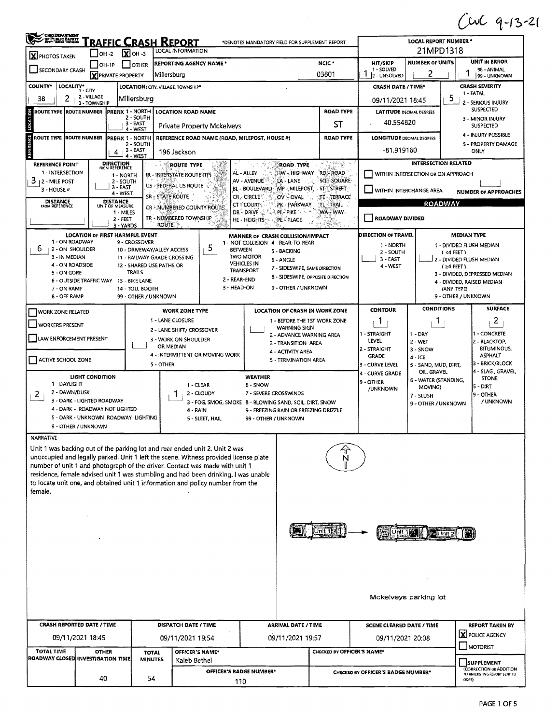$Cwc$  9-13-21

| OHO DEPARTMENT                                                                                     |                                                                   |                                                 |                                                                                                                                       | <u>RAFFIC CRASH REPORT</u>                              |                                                                                                                                                                   | *DENOTES MANDATORY FIELD FOR SUPPLEMENT REPORT       |                               |                                        |                                                                 | <b>LOCAL REPORT NUMBER *</b>           |                                         |                                              |  |
|----------------------------------------------------------------------------------------------------|-------------------------------------------------------------------|-------------------------------------------------|---------------------------------------------------------------------------------------------------------------------------------------|---------------------------------------------------------|-------------------------------------------------------------------------------------------------------------------------------------------------------------------|------------------------------------------------------|-------------------------------|----------------------------------------|-----------------------------------------------------------------|----------------------------------------|-----------------------------------------|----------------------------------------------|--|
| <b>X</b> PHOTOS TAKEN                                                                              | OH -2                                                             | $X$ OH-3                                        |                                                                                                                                       | LOCAL INFORMATION                                       |                                                                                                                                                                   |                                                      |                               |                                        |                                                                 | 21MPD1318                              |                                         |                                              |  |
| $ OH-1P $<br>I IOTHER<br>SECONDARY CRASH                                                           |                                                                   |                                                 |                                                                                                                                       |                                                         | <b>REPORTING AGENCY NAME*</b>                                                                                                                                     |                                                      | HIT/SKIP<br>1 - SOLVED<br>1   | <b>NUMBER OF UNITS</b><br>2            |                                                                 | UNIT IN ERROR<br>98 - ANIMAL           |                                         |                                              |  |
| <b>COUNTY*</b><br>LOCALITY*                                                                        |                                                                   | <b>X</b> PRIVATE PROPERTY                       |                                                                                                                                       | Millersburg<br>LOCATION: CITY, VILLAGE, TOWNSHIP*       |                                                                                                                                                                   |                                                      |                               | 03801                                  | 2 - UNSOLVED                                                    |                                        |                                         | 99 - UNKNOWN<br><b>CRASH SEVERITY</b>        |  |
| 2<br>38                                                                                            | $1 - CITY$<br>2 - VILLAGE                                         |                                                 | Millersburg                                                                                                                           |                                                         |                                                                                                                                                                   |                                                      |                               |                                        | <b>CRASH DATE / TIME*</b><br>1 - FATAL<br>5<br>09/11/2021 18:45 |                                        |                                         |                                              |  |
| ROUTE TYPE  ROUTE NUMBER                                                                           | 3 - TOWNSHIP                                                      | <b>IPREFIX 1 - NORTH</b>                        |                                                                                                                                       | <b>LOCATION ROAD NAME</b>                               |                                                                                                                                                                   |                                                      |                               | <b>ROAD TYPE</b>                       | <b>LATITUDE DECIMAL DEGREES</b>                                 | 2 - SERIOUS INJURY<br><b>SUSPECTED</b> |                                         |                                              |  |
| LOCATION                                                                                           |                                                                   |                                                 | 2 - SOUTH<br>3 - EAST                                                                                                                 |                                                         |                                                                                                                                                                   |                                                      |                               | ST                                     | 40.554820                                                       |                                        |                                         | 3 - MINOR INJURY                             |  |
| ROUTE TYPE ROUTE NUMBER                                                                            |                                                                   | PREFIX 1 - NORTH                                | 4 - WEST                                                                                                                              |                                                         | Private Property Mckelveys                                                                                                                                        |                                                      |                               | <b>ROAD TYPE</b>                       |                                                                 |                                        | <b>SUSPECTED</b><br>4 - INJURY POSSIBLE |                                              |  |
| ENGE                                                                                               |                                                                   |                                                 | <b>LONGITUDE DECIMAL DEGREES</b><br>REFERENCE ROAD NAME (ROAD, MILEPOST, HOUSE #)<br>2 - SOUTH<br><sub>1</sub> 3 - EAST<br>-81.919160 |                                                         |                                                                                                                                                                   |                                                      |                               |                                        |                                                                 |                                        | 5 - PROPERTY DAMAGE<br>ONLY             |                                              |  |
|                                                                                                    |                                                                   | 4                                               | 4 - WEST                                                                                                                              | 196 Jackson                                             |                                                                                                                                                                   |                                                      |                               | 공부 일본                                  |                                                                 | <b>INTERSECTION RELATED</b>            |                                         |                                              |  |
| <b>REFERENCE POINT</b><br>1 - INTERSECTION                                                         |                                                                   | <b>DIRECTION</b><br>FROM REFERENCE<br>1 - NORTH |                                                                                                                                       | ROUTE TYPE<br>IR - INTERSTATE ROUTE (TP)                | 83                                                                                                                                                                | AL - ALLEY                                           | <b>ROAD TYPE</b>              | HW-HIGHWAY RD-ROAD                     |                                                                 | WITHIN INTERSECTION OR ON APPROACH     |                                         |                                              |  |
| э<br><b>12 - MILE POST</b><br>3 - HOUSE #                                                          |                                                                   | 2 - SOUTH<br>3 - EA5T                           |                                                                                                                                       | US - FEDERAL US ROUTE                                   |                                                                                                                                                                   | AV - AVENUE<br>BL - BOULEVARD -                      | LA - LANE                     | SQ - SQUARE<br>MP - MILEPOST STESTREET |                                                                 |                                        |                                         |                                              |  |
|                                                                                                    |                                                                   | 4 - WEST<br><b>DISTANCE</b>                     |                                                                                                                                       | SR = STATE ROUTE                                        |                                                                                                                                                                   | CR - CIRCLE <sup>2</sup>                             | OV - OVAL                     | <b>TE - TERRACE</b>                    | WITHIN INTERCHANGE AREA                                         |                                        |                                         | <b>NUMBER OF APPROACHES</b>                  |  |
| <b>DISTANCE</b><br>FROM REFERENCE                                                                  |                                                                   | UNIT OF MEASURE<br>1 - MILES                    |                                                                                                                                       |                                                         | CR - NUMBERED COUNTY ROUTE                                                                                                                                        | <b>CT * COURT:</b><br>DR - DRIVE                     | PK - PARKWAY<br>ે PI - PIKE   | $T$ l $ TR$ All $-$<br>WA - WAY -      |                                                                 | <b>ROADWAY</b>                         |                                         |                                              |  |
|                                                                                                    |                                                                   | $2 - FEET$<br>3 - YARDS                         |                                                                                                                                       | TR - NUMBERED TOWNSHIP<br><b>ROUTE</b>                  |                                                                                                                                                                   | HE - HEIGHTS                                         | ंPL- PLACE                    |                                        | ROADWAY DIVIDED                                                 |                                        |                                         |                                              |  |
| 1 - ON ROADWAY                                                                                     | <b>LOCATION OF FIRST HARMFUL EVENT</b>                            |                                                 |                                                                                                                                       |                                                         |                                                                                                                                                                   | MANNER OF CRASH COLLISION/IMPACT                     |                               |                                        | <b>DIRECTION OF TRAVEL</b>                                      |                                        | <b>MEDIAN TYPE</b>                      |                                              |  |
| 6<br>2 - ON SHOULDER                                                                               |                                                                   |                                                 | 9 - CROSSOVER                                                                                                                         | 10 - DRIVEWAY/ALLEY ACCESS                              | 5                                                                                                                                                                 | 1 - NOT COLLISION 4 - REAR-TO-REAR<br><b>BETWEEN</b> | 5 - BACKING                   |                                        | 1 - NORTH<br>2 - SOUTH                                          |                                        | (4FEET)                                 | 1 - DIVIDED FLUSH MEDIAN                     |  |
| 3 - IN MEDIAN<br>4 - ON ROADSIDE                                                                   |                                                                   |                                                 |                                                                                                                                       | 11 - RAILWAY GRADE CROSSING<br>12 - SHARED USE PATHS OR |                                                                                                                                                                   | <b>TWO MOTOR</b><br><b>VEHICLES IN</b>               | 6 - ANGLE                     |                                        | $3 - EAST$<br>4 - WEST                                          |                                        | $(24$ FEET)                             | 2 - DIVIDED FLUSH MEDIAN                     |  |
| 5 - ON GORE                                                                                        |                                                                   |                                                 | <b>TRAILS</b>                                                                                                                         |                                                         | 2 - REAR-END                                                                                                                                                      | <b>TRANSPORT</b>                                     | 7 - SIDESWIPE, SAME DIRECTION | 8 - SIDESWIPE, OPPOSITE DIRECTION      |                                                                 |                                        |                                         | 3 - DIVIDED, DEPRESSED MEDIAN                |  |
| 7 - ON RAMP                                                                                        | <b>6 - OUTSIDE TRAFFIC WAY</b>                                    |                                                 | 13 - BIKE LANE<br>14 - TOLL BOOTH                                                                                                     |                                                         | 3 - HEAD-ON                                                                                                                                                       |                                                      | 9 - OTHER / UNKNOWN           |                                        |                                                                 |                                        | (ANY TYPE)                              | 4 - DIVIDED, RAISED MEDIAN                   |  |
| 8 - OFF RAMP                                                                                       |                                                                   |                                                 | 99 - OTHER / UNKNOWN                                                                                                                  |                                                         |                                                                                                                                                                   |                                                      |                               |                                        |                                                                 |                                        | 9 - OTHER / UNKNOWN                     |                                              |  |
| <b>WORK ZONE RELATED</b>                                                                           |                                                                   |                                                 |                                                                                                                                       | <b>WORK ZONE TYPE</b>                                   |                                                                                                                                                                   |                                                      |                               | <b>LOCATION OF CRASH IN WORK ZONE</b>  | <b>CONTOUR</b>                                                  | <b>CONDITIONS</b>                      |                                         | <b>SURFACE</b>                               |  |
| WORKERS PRESENT                                                                                    |                                                                   |                                                 |                                                                                                                                       | 1 - LANE CLOSURE                                        | 2 - LANE SHIFT/ CROSSOVER                                                                                                                                         |                                                      | <b>WARNING SIGN</b>           | 1 - BEFORE THE 1ST WORK ZONE           | 1                                                               | T                                      |                                         | $\overline{2}$                               |  |
| 2 - ADVANCE WARNING AREA<br>LAW ENFORCEMENT PRESENT<br>3 - WORK ON SHOULDER<br>3 - TRANSITION AREA |                                                                   |                                                 |                                                                                                                                       |                                                         |                                                                                                                                                                   |                                                      | - STRAIGHT<br>LEVEL           | $1 - DRY$<br>$2 - WET$                 |                                                                 | - CONCRETE<br>2 - BLACKTOP,            |                                         |                                              |  |
|                                                                                                    | OR MEDIAN<br>4 - ACTIVITY AREA<br>4 - INTERMITTENT OR MOVING WORK |                                                 |                                                                                                                                       |                                                         |                                                                                                                                                                   |                                                      |                               | 2 - STRAIGHT<br><b>GRADE</b>           | 3 - SNOW<br>$4 - ICE$                                           |                                        | BITUMINOUS,<br><b>ASPHALT</b>           |                                              |  |
| ACTIVE SCHOOL ZONE                                                                                 |                                                                   |                                                 |                                                                                                                                       | 5 - OTHER                                               |                                                                                                                                                                   |                                                      | 5 - TERMINATION AREA          |                                        | 3 - CURVE LEVEL                                                 | 5 - SAND, MUD, DIRT,<br>OIL, GRAVEL    |                                         | 3 - BRICK/BLOCK<br>4 - SLAG, GRAVEL,         |  |
| 1 - DAYLIGHT                                                                                       | <b>LIGHT CONDITION</b>                                            |                                                 |                                                                                                                                       |                                                         | 1 - CLEAR                                                                                                                                                         | <b>WEATHER</b><br>6 - SNOW                           |                               |                                        | 4 - CURVE GRADE<br>9 - OTHER                                    | 6 - WATER (STANDING,                   |                                         | <b>STONE</b>                                 |  |
| 2 - DAWN/DUSK<br>2                                                                                 |                                                                   |                                                 |                                                                                                                                       |                                                         | 2 - CLOUDY                                                                                                                                                        | 7 - SEVERE CROSSWINDS                                |                               |                                        | <b>/UNKNOWN</b>                                                 | MOVING)<br>7 - SLUSH                   |                                         | 5 - DIRT<br>9 - OTHER                        |  |
|                                                                                                    | 3 - DARK - LIGHTED ROADWAY<br>4 - DARK - ROADWAY NOT LIGHTED      |                                                 |                                                                                                                                       |                                                         | 3 - FOG, SMOG, SMOKE 8 - BLOWING SAND, SOIL, DIRT, SNOW<br>4 - RAIN                                                                                               |                                                      |                               | 9 - FREEZING RAIN OR FREEZING DRIZZLE  |                                                                 | 9 - OTHER / UNKNOWN                    |                                         | / UNKNOWN                                    |  |
|                                                                                                    | 5 - DARK - UNKNOWN ROADWAY LIGHTING                               |                                                 |                                                                                                                                       |                                                         | 5 - SLEET, HAIL                                                                                                                                                   | 99 - OTHER / UNKNOWN                                 |                               |                                        |                                                                 |                                        |                                         |                                              |  |
| <b>NARRATIVE</b>                                                                                   | 9 - OTHER / UNKNOWN                                               |                                                 |                                                                                                                                       |                                                         |                                                                                                                                                                   |                                                      |                               |                                        |                                                                 |                                        |                                         |                                              |  |
|                                                                                                    |                                                                   |                                                 |                                                                                                                                       |                                                         | Unit 1 was backing out of the parking lot and rear ended unit 2. Unit 2 was                                                                                       |                                                      |                               |                                        |                                                                 |                                        |                                         |                                              |  |
|                                                                                                    |                                                                   |                                                 |                                                                                                                                       |                                                         | unoccupied and legally parked. Unit 1 left the scene. Witness provided license plate                                                                              |                                                      |                               |                                        |                                                                 |                                        |                                         |                                              |  |
|                                                                                                    |                                                                   |                                                 |                                                                                                                                       |                                                         | number of unit 1 and photograph of the driver. Contact was made with unit 1<br>residence, female advised unit 1 was stumbling and had been drinking. I was unable |                                                      |                               |                                        |                                                                 |                                        |                                         |                                              |  |
|                                                                                                    |                                                                   |                                                 |                                                                                                                                       |                                                         | to locate unit one, and obtained unit 1 information and policy number from the                                                                                    |                                                      |                               |                                        |                                                                 |                                        |                                         |                                              |  |
| female.                                                                                            |                                                                   |                                                 |                                                                                                                                       |                                                         |                                                                                                                                                                   |                                                      |                               |                                        |                                                                 |                                        |                                         |                                              |  |
|                                                                                                    |                                                                   |                                                 |                                                                                                                                       |                                                         |                                                                                                                                                                   |                                                      |                               |                                        |                                                                 |                                        |                                         |                                              |  |
|                                                                                                    |                                                                   |                                                 |                                                                                                                                       |                                                         |                                                                                                                                                                   |                                                      |                               | Jnit '                                 |                                                                 |                                        |                                         |                                              |  |
|                                                                                                    |                                                                   |                                                 |                                                                                                                                       |                                                         |                                                                                                                                                                   |                                                      |                               |                                        |                                                                 | Unit 2                                 |                                         |                                              |  |
|                                                                                                    |                                                                   |                                                 |                                                                                                                                       |                                                         |                                                                                                                                                                   |                                                      |                               |                                        |                                                                 |                                        |                                         |                                              |  |
|                                                                                                    |                                                                   |                                                 |                                                                                                                                       |                                                         |                                                                                                                                                                   |                                                      |                               |                                        |                                                                 |                                        |                                         |                                              |  |
|                                                                                                    |                                                                   |                                                 |                                                                                                                                       |                                                         |                                                                                                                                                                   |                                                      |                               |                                        |                                                                 |                                        |                                         |                                              |  |
|                                                                                                    |                                                                   |                                                 |                                                                                                                                       |                                                         |                                                                                                                                                                   |                                                      |                               |                                        |                                                                 |                                        |                                         |                                              |  |
|                                                                                                    |                                                                   |                                                 |                                                                                                                                       |                                                         |                                                                                                                                                                   |                                                      |                               |                                        |                                                                 | Mckelveys parking lot                  |                                         |                                              |  |
| <b>CRASH REPORTED DATE / TIME</b>                                                                  |                                                                   |                                                 |                                                                                                                                       |                                                         | DISPATCH DATE / TIME                                                                                                                                              |                                                      | <b>ARRIVAL DATE / TIME</b>    |                                        | <b>SCENE CLEARED DATE / TIME</b>                                |                                        |                                         | <b>REPORT TAKEN BY</b>                       |  |
|                                                                                                    | 09/11/2021 18:45                                                  |                                                 |                                                                                                                                       |                                                         | 09/11/2021 19:54                                                                                                                                                  |                                                      | 09/11/2021 19:57              |                                        | 09/11/2021 20:08                                                |                                        |                                         | X POLICE AGENCY                              |  |
| <b>TOTAL TIME</b>                                                                                  | <b>OTHER</b>                                                      |                                                 | <b>TOTAL</b>                                                                                                                          |                                                         | OFFICER'S NAME*                                                                                                                                                   |                                                      |                               |                                        | MOTORIST<br>CHECKED BY OFFICER'S NAME*                          |                                        |                                         |                                              |  |
| ROADWAY CLOSED INVESTIGATION TIME                                                                  |                                                                   |                                                 | <b>MINUTES</b>                                                                                                                        |                                                         | Kaleb Bethel                                                                                                                                                      |                                                      |                               |                                        |                                                                 |                                        |                                         | <b>SUPPLEMENT</b><br>(CORRECTION OR ADDITION |  |
|                                                                                                    | 40                                                                |                                                 | 54                                                                                                                                    |                                                         |                                                                                                                                                                   | OFFICER'S BADGE NUMBER*<br>110                       |                               |                                        | CHECKED BY OFFICER'S BADGE NUMBER*                              |                                        | ODPS)                                   | TO AN EXISTING REPORT SENT TO                |  |
|                                                                                                    |                                                                   |                                                 |                                                                                                                                       |                                                         |                                                                                                                                                                   |                                                      |                               |                                        |                                                                 |                                        |                                         |                                              |  |

 $\label{eq:2.1} \frac{1}{\sqrt{2\pi}}\int_{\mathbb{R}^3}\frac{1}{\sqrt{2\pi}}\left(\frac{1}{\sqrt{2\pi}}\right)^2\frac{1}{\sqrt{2\pi}}\int_{\mathbb{R}^3}\frac{1}{\sqrt{2\pi}}\frac{1}{\sqrt{2\pi}}\frac{1}{\sqrt{2\pi}}\frac{1}{\sqrt{2\pi}}\frac{1}{\sqrt{2\pi}}\frac{1}{\sqrt{2\pi}}\frac{1}{\sqrt{2\pi}}\frac{1}{\sqrt{2\pi}}\frac{1}{\sqrt{2\pi}}\frac{1}{\sqrt{2\pi}}\frac{1}{\sqrt{2\pi}}\frac{$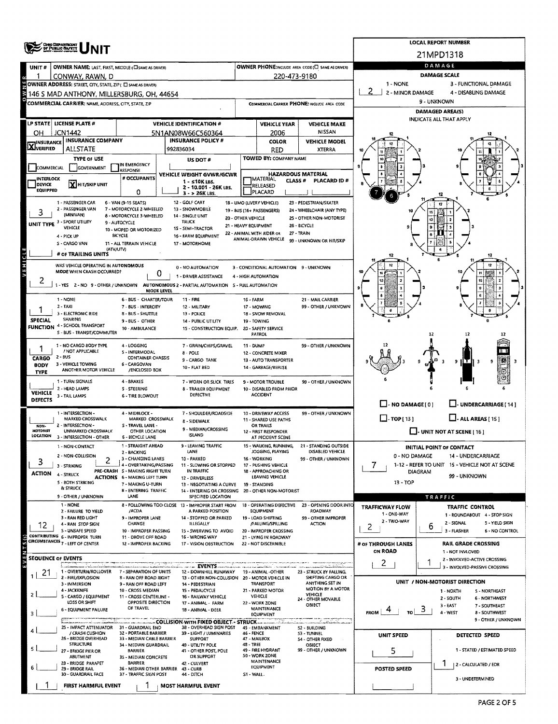|                            | <b>OHO DEPARTMENT</b><br>OF PUBLIC SAMETY                                                        |                                                           |                                                                                            |                                                         |                                               |                                                      |                                       | <b>LOCAL REPORT NUMBER</b>                                             |
|----------------------------|--------------------------------------------------------------------------------------------------|-----------------------------------------------------------|--------------------------------------------------------------------------------------------|---------------------------------------------------------|-----------------------------------------------|------------------------------------------------------|---------------------------------------|------------------------------------------------------------------------|
|                            |                                                                                                  |                                                           |                                                                                            |                                                         |                                               |                                                      |                                       | 21MPD1318                                                              |
| UNIT#                      | OWNER NAME: LAST, FIRST, MIDDLE (CI SAME AS DRIVER)                                              |                                                           |                                                                                            |                                                         |                                               | OWNER PHONE:INCLUDE AREA CODE (C) SAME AS DRIVER)    |                                       | DAMAGE                                                                 |
|                            | CONWAY, RAWN, D                                                                                  |                                                           |                                                                                            |                                                         | 220-473-9180                                  |                                                      |                                       | <b>DAMAGE SCALE</b>                                                    |
|                            | OWNER ADDRESS: STREET, CITY, STATE, ZIP( C) SAME AS DRIVER)                                      |                                                           |                                                                                            |                                                         |                                               |                                                      | 1 - NONE<br>2 - MINOR DAMAGE          | 3 - FUNCTIONAL DAMAGE<br>4 - DISABLING DAMAGE                          |
|                            | 146 S MAD ANTHONY, MILLERSBURG, OH, 44654<br>COMMERCIAL CARRIER: NAME, ADDRESS, CITY, STATE, ZIP |                                                           |                                                                                            |                                                         |                                               |                                                      |                                       | 9 - UNKNOWN                                                            |
|                            |                                                                                                  |                                                           |                                                                                            |                                                         |                                               | COMMERCIAL CARRIER PHONE: INCLUDE AREA CODE          |                                       | <b>DAMAGED AREA(S)</b>                                                 |
|                            | LP STATE   LICENSE PLATE #                                                                       |                                                           | <b>VEHICLE IDENTIFICATION #</b>                                                            |                                                         | <b>VEHICLE YEAR</b>                           | <b>VEHICLE MAKE</b>                                  |                                       | INDICATE ALL THAT APPLY                                                |
| OН                         | <b>JCN1442</b>                                                                                   |                                                           | 5N1AN08W66C560364                                                                          |                                                         | 2006                                          | <b>NISSAN</b>                                        |                                       |                                                                        |
| <b>X</b> INSURANCE         | <b>INSURANCE COMPANY</b>                                                                         |                                                           | <b>INSURANCE POLICY #</b>                                                                  |                                                         | COLOR                                         | <b>VEHICLE MODEL</b>                                 |                                       |                                                                        |
|                            | <b>ALLSTATE</b>                                                                                  |                                                           | 992836034                                                                                  |                                                         | RED                                           | <b>XTERRA</b>                                        |                                       |                                                                        |
|                            | <b>TYPE OF USE</b>                                                                               | IN EMERGENCY                                              | US DOT #                                                                                   |                                                         | TOWED BY: COMPANY NAME                        |                                                      |                                       |                                                                        |
| COMMERCIAL                 | GOVERNMENT                                                                                       | <b>RESPONSE</b><br># OCCUPANTS                            | VEHICLE WEIGHT GVWR/GCWR                                                                   |                                                         |                                               | <b>HAZARDOUS MATERIAL</b>                            |                                       |                                                                        |
| <b>INTERLOCK</b><br>DEVICE | X HIT/SKIP UNIT                                                                                  |                                                           | $1 - 510K$ LBS.<br>2 - 10.001 - 26K LBS.                                                   |                                                         | MATERIAL<br>CLASS #<br>RELEASED               | PLACARD ID#                                          |                                       |                                                                        |
| <b>EQUIPPED</b>            |                                                                                                  | 0                                                         | 3 - > 26K LBS.                                                                             |                                                         | PLACARD                                       |                                                      |                                       |                                                                        |
|                            | 1 - PASSENGER CAR<br>2 - PASSENGER VAN                                                           | 6 - VAN (9-15 SEATS)<br>7 - MOTORCYCLE 2-WHEELED          | 12 - GOLF CART<br>13 - SNOWMOBILE                                                          | 18 - LIMO (LIVERY VEHICLE)<br>19 - 8US (16+ PASSENGERS) |                                               | 23 - PEDESTRIAN/SKATER<br>24 - WHEELCHAIR (ANY TYPE) |                                       |                                                                        |
|                            | (MINIVAN)                                                                                        | 8 - MOTORCYCLE 3-WHEELED                                  | 14 - SINGLE UNIT                                                                           | 20 - OTHER VEHICLE                                      |                                               | 25 - OTHER NON-MOTORIST                              |                                       |                                                                        |
|                            | UNIT TYPE 3 - SPORT UTILITY<br><b>VEHICLE</b>                                                    | 9 - AUTOCYCLE<br>10 - MOPED OR MOTORIZED                  | TRUCK<br>15 - SEMI-TRACTOR                                                                 | 21 - HEAVY EQUIPMENT                                    |                                               | 26 - BICYCLE                                         |                                       |                                                                        |
|                            | 4 - PICK UP                                                                                      | <b>BICYCLE</b>                                            | 16 - FARM EQUIPMENT                                                                        | 22 - ANIMAL WITH RIDER OR                               | ANIMAL-DRAWN VEHICLE                          | 27 - TRAIN<br>99 - UNKNOWN OR HIT/SKIP               |                                       |                                                                        |
|                            | S - CARGO VAN<br>(ATV/UTV)                                                                       | 11 - ALL TERRAIN VEHICLE                                  | 17 - MOTORHOME                                                                             |                                                         |                                               |                                                      |                                       |                                                                        |
|                            | # OF TRAILING UNITS                                                                              |                                                           |                                                                                            |                                                         |                                               |                                                      |                                       |                                                                        |
|                            | WAS VEHICLE OPERATING IN AUTONOMOUS<br>MODE WHEN CRASH OCCURRED?                                 |                                                           | 0 - NO AUTOMATION                                                                          |                                                         | 3 - CONDITIONAL AUTOMATION 9 - UNKNOWN        |                                                      |                                       |                                                                        |
| $\angle$                   |                                                                                                  | 0                                                         | 1 - DRIVER ASSISTANCE                                                                      |                                                         | 4 - HIGH AUTOMATION                           |                                                      |                                       |                                                                        |
|                            |                                                                                                  | <b>MODE LEVEL</b>                                         | 1 - YES 2 - NO 9 - OTHER / UNKNOWN AUTONOMOUS 2 - PARTIAL AUTOMATION 5 - FULL AUTOMATION   |                                                         |                                               |                                                      |                                       |                                                                        |
|                            | 1 - NONE                                                                                         | 6 - BUS - CHARTER/TOUR                                    | 11 - FIRE                                                                                  | 16 - FARM                                               |                                               | 21 - MAIL CARRIER                                    |                                       |                                                                        |
|                            | 2 - TAXI<br>3 - ELECTRONIC RIDE                                                                  | 7 - BUS - INTERCITY<br>8 - BUS - SHUTTLE                  | 12 - MILITARY<br>13 - POLICE                                                               |                                                         | 17 - MOWING<br>18 - SNOW REMOVAL              | 99 - OTHER / UNKNOWN                                 |                                       |                                                                        |
| <b>SPECIAL</b>             | SHARING                                                                                          | 9 - BUS - OTHER                                           | 14 - PUBLIC UTILITY                                                                        |                                                         | 19 - TOWING                                   |                                                      |                                       |                                                                        |
| <b>FUNCTION</b>            | 4 - SCHOOL TRANSPORT<br>S - BUS - TRANSIT/COMMUTER                                               | 10 - AMBULANCE                                            | 15 - CONSTRUCTION EQUIP.                                                                   |                                                         | 20 - SAFETY SERVICE<br>PATROL                 |                                                      |                                       | 12<br>12                                                               |
|                            | 1 - NO CARGO 8ODY TYPE                                                                           | 4 - LOGGING                                               | 7 - GRAIN/CHIPS/GRAVEL                                                                     | 11 - DUMP                                               |                                               | 99 - OTHER / UNKNOWN                                 |                                       |                                                                        |
|                            | / NOT APPLICABLE                                                                                 | 5 - INTERMODAL                                            | <b>8 - POLE</b>                                                                            |                                                         | 12 - CONCRETE MIXER                           |                                                      |                                       |                                                                        |
| CARGO<br><b>BODY</b>       | 2 - BUS<br>3 - VEHICLE TOWING                                                                    | <b>CONTAINER CHASSIS</b><br>6 - CARGOVAN                  | 9 - CARGO TANK                                                                             |                                                         | 13 - AUTO TRANSPORTER                         |                                                      |                                       | 9 H.T.N<br>9                                                           |
| <b>TYPE</b>                | ANOTHER MOTOR VEHICLE                                                                            | /ENCLOSED BOX                                             | 10 - FLAT BED                                                                              |                                                         | 14 - GARBAGE/REFUSE                           |                                                      |                                       |                                                                        |
|                            | 1 - TURN SIGNALS<br>2 - HEAD LAMPS                                                               | 4 - BRAKES<br>5 - STEERING                                | 7 - WORN OR SLICK TIRES<br>8 - TRAILER EQUIPMENT                                           |                                                         | 9 - MOTOR TROUBLE<br>10 - DISABLED FROM PRIOR | 99 - OTHER / UNKNOWN                                 |                                       |                                                                        |
| <b>VEHICLE</b><br>DEFECTS  | 3 - TAIL LAMPS                                                                                   | <b>6 - TIRE BLOWOUT</b>                                   | DEFECTIVE                                                                                  |                                                         | <b>ACCIDENT</b>                               |                                                      |                                       |                                                                        |
|                            |                                                                                                  |                                                           |                                                                                            |                                                         |                                               |                                                      | $\Box$ - NO DAMAGE[0]                 | U-UNDERCARRIAGE [14]                                                   |
|                            | 1 - INTERSECTION -<br>MARKED CROSSWALK                                                           | 4 - MIDBLOCK -<br>MARKED CROSSWALK                        | 7 - SHOULDER/ROADSIDE<br>8 - SIDEWALK                                                      |                                                         | 10 - DRIVEWAY ACCESS<br>11 - SHARED USE PATHS | 99 - OTHER / UNKNOWN                                 | $\Box$ -TOP[13]                       | $\Box$ - ALL AREAS [ 15 ]                                              |
| NDN-<br>MOTORIST           | 2 - INTERSECTION -<br>UNMARKED CROSSWALK                                                         | S - TRAVEL LANE -<br>OTHER LOCATION                       | 9 - MEDIAN/CROSSING                                                                        |                                                         | OR TRAILS                                     |                                                      |                                       | $\Box$ - UNIT NOT AT SCENE [ 16 ]                                      |
| LOCATION                   | 3 - INTERSECTION - OTHER                                                                         | 6 - BICYCLE LANE                                          | <b>ISLAND</b>                                                                              |                                                         | 12 - FIRST RESPONDER<br>AT INCIDENT SCENE     |                                                      |                                       |                                                                        |
|                            | 1 - NON-CONTACT                                                                                  | 1 - STRAIGHT AHEAD<br>2 - BACKING                         | 9 - LEAVING TRAFFIC<br>LANE                                                                |                                                         | 15 - WALKING, RUNNING,<br>JOGGING, PLAYING    | 21 - STANDING OUTSIDE<br>DISABLED VEHICLE            |                                       | <b>INITIAL POINT OF CONTACT</b>                                        |
| 3                          | 2 - NON-COLLISION                                                                                | 3 - CHANGING LANES                                        | 10 - PARKED                                                                                |                                                         | 16 - WORKING                                  | 99 - OTHER / UNKNOWN                                 | 0 - NO DAMAGE                         | 14 - UNDERCARRIAGE                                                     |
| <b>ACTION</b>              | 3 - STRIKING                                                                                     | 4 - OVERTAKING/PASSING<br>PRE-CRASH S - MAKING RIGHT TURN | 11 - SLOWING OR STOPPED<br>IN TRAFFIC                                                      |                                                         | 17 - PUSHING VEHICLE<br>18 - APPROACHING OR   |                                                      | 7.                                    | 1-12 - REFER TO UNIT 15 - VEHICLE NOT AT SCENE<br>DIAGRAM              |
|                            | 4 - STRUCK<br>5 - 80TH STRIKING                                                                  | <b>ACTIONS 6 - MAKING LEFT TURN</b><br>7 - MAKING U-TURN  | 12 - DRIVERLESS                                                                            |                                                         | LEAVING VEHICLE<br>19 - STANDING              |                                                      | 13 - TOP                              | 99 - UNKNOWN                                                           |
|                            | & STRUCK                                                                                         | <b>B-ENTERING TRAFFIC</b>                                 | 13 - NEGOTIATING A CURVE<br>14 - ENTERING OR CROSSING                                      |                                                         | 20 - OTHER NON-MOTORIST                       |                                                      |                                       |                                                                        |
|                            | 9 - OTHER / UNKNOWN<br>1 - NONE                                                                  | LANE                                                      | SPECIFIED LOCATION<br>8 - FOLLOWING TOO CLOSE 13 - IMPROPER START FROM                     |                                                         | 18 - OPERATING DEFECTIVE                      | 23 - OPENING DOOR INTO                               |                                       | TRAFFIC                                                                |
|                            | 2 - FAILURE TO YIELD                                                                             | /ACDA                                                     | A PARKED POSITION                                                                          |                                                         | EQUIPMENT                                     | ROADWAY                                              | <b>TRAFFICWAY FLOW</b><br>1 - ONE-WAY | <b>TRAFFIC CONTROL</b><br>1 - ROUNDABOUT 4 - STOP SIGN                 |
| 12                         | 3 - RAN RED LIGHT<br>4 - RAN STOP SIGN                                                           | 9 - IMPROPER LANE<br>CHANGE                               | 14 - STOPPED OR PARKED<br><b>ILLEGALLY</b>                                                 |                                                         | 19 - LOAD SHIFTING<br>/FALLING/SPILLING       | 99 - OTHER IMPROPER<br><b>ACTION</b>                 | 2 - TWO-WAY                           | 2 - SIGNAL<br><b>S - YIELD SIGN</b><br>6                               |
|                            | 5 - UNSAFE SPEED<br>CONTRIBUTING 6 - IMPROPER TURN                                               | 10 - IMPROPER PASSING<br>11 - DROVE OFF ROAD              | 15 - SWERVING TO AVOID<br>16 - WRONG WAY                                                   |                                                         | 20 - IMPROPER CROSSING                        |                                                      | 2                                     | 3 - FLASHER<br><b>6 - NO CONTROL</b>                                   |
|                            | CIRCUMSTANCES 7 - LEFT OF CENTER                                                                 | 12 - IMPROPER BACKING                                     | 17 - VISION OBSTRUCTION                                                                    |                                                         | 21 - LYING IN ROADWAY<br>22 - NOT DISCERNIBLE |                                                      | # OF THROUGH LANES                    | <b>RAIL GRADE CROSSING</b>                                             |
| <b>SEQUENCE OF EVENTS</b>  |                                                                                                  |                                                           |                                                                                            |                                                         |                                               |                                                      | ON ROAD                               | 1 - NOT INVLOVED                                                       |
|                            |                                                                                                  |                                                           | - - - EVENTS                                                                               |                                                         |                                               | <b>Speed Art</b>                                     | $\mathbf{2}$                          | 2 - INVOLVED-ACTIVE CROSSING<br>3 - INVOLVED-PASSIVE CROSSING          |
| 21                         | 1 - OVERTURN/ROLLOVER<br>2 - FIRE/EXPLOSION                                                      | 7 - SEPARATION OF UNITS<br>8 - RAN OFF ROAD RIGHT         | 12 - DOWNHILL RUNAWAY 19 - ANIMAL -OTHER<br>13 - OTHER NON-COLLISION 20 - MOTOR VEHICLE IN |                                                         |                                               | 23 - STRUCK BY FALLING,<br>SHIFTING CARGO OR         |                                       |                                                                        |
|                            | 3 - IMMERSION                                                                                    | 9 - RAN OFF ROAD LEFT                                     | 14 - PEDESTRIAN                                                                            |                                                         | TRANSPORT                                     | ANYTHING SET IN<br><b>MOTION BY A MOTOR</b>          |                                       | UNIT / NON-MOTORIST DIRECTION                                          |
| 21                         | 4 - JACKKNIFE<br>5 - CARGO / EQUIPMENT                                                           | 10 - CROSS MEDIAN<br>11 - CROSS CENTERLINE -              | 15 - PEDALCYCLE<br>16 - RAILWAY VEHICLE                                                    |                                                         | 21 - PARKED MOTOR<br><b>VEHICLE</b>           | VEHICLE<br>24 - OTHER MOVABLE                        |                                       | <b>5 - NORTHEAST</b><br>1 - NORTH<br>2 - SOUTH<br><b>6 - NORTHWEST</b> |
|                            | LOSS OR SHIFT<br>6 - EQUIPMENT FAILURE                                                           | OPPOSITE DIRECTION<br>OF TRAVEL                           | 17 - ANIMAL - FARM<br>18 - ANIMAL - DEER                                                   |                                                         | 22 - WORK ZONE<br>MAINTENANCE                 | OBJECT                                               |                                       | 3 - EAST<br>7 - SOUTHEAST                                              |
| з                          |                                                                                                  |                                                           |                                                                                            |                                                         | EQUIPMENT                                     | ulicialde Sald                                       | FROM<br>TO.                           | 4 - WEST<br>8 - SOUTHWEST<br>9 - OTHER / UNKNOWN                       |
|                            | 25 - IMPACT ATTENUATOR 31 - GUARDRAIL END                                                        |                                                           | - COLLISION WITH FIXED OBJECT - STRUCK<br>38 - OVERHEAD SIGN POST                          |                                                         | 45 - EMBANKMENT                               | 52 - BUILDING                                        |                                       |                                                                        |
|                            | / CRASH CUSHION<br>26 - BRIDGE OVERHEAD                                                          | 32 - PORTABLE BARRIER<br>33 - MEDIAN CABLE BARRIER        | 39 - LIGHT / LUMINARIES<br><b>SUPPORT</b>                                                  | 46 - FENCE                                              | 47 - MAILBOX                                  | 53 - TUNNEL<br>54 - OTHER FIXED                      | <b>UNIT SPEED</b>                     | <b>DETECTED SPEED</b>                                                  |
|                            | <b>STRUCTURE</b><br>27 - BRIDGE PIER OR                                                          | 34 - MEDIAN GUARDRAIL<br><b>BARRIER</b>                   | 40 - UTILITY POLE<br>41 - OTHER POST, POLE                                                 | 48 - TREE                                               | 49 - FIRE HYDRANT                             | OBJECT<br>99 - OTHER / UNKNOWN                       | 5                                     | 1 - STATED / ESTIMATED SPEED                                           |
|                            | <b>ABUTMENT</b>                                                                                  | 35 - MEDIAN CONCRETE                                      | OR SUPPORT                                                                                 |                                                         | 50 - WORK ZONE<br>MAINTENANCE                 |                                                      |                                       |                                                                        |
|                            | 28 - BRIDGE PARAPET<br>29 - BRIDGE RAIL                                                          | <b>BARRIER</b><br>36 - MEDIAN OTHER BARRIER 43 - CURB     | 42 - CULVERT                                                                               |                                                         | EQUIPMENT                                     |                                                      | POSTED SPEED                          | 2 - CALCULATED / EDR                                                   |
|                            | 30 - GUARDRAIL FACE                                                                              | 37 - TRAFFIC SIGN POST                                    | 44 - DITCH                                                                                 | S1 - WALL.                                              |                                               |                                                      |                                       | 3 - UNDETERMINED                                                       |
|                            | FIRST HARMFUL EVENT                                                                              |                                                           | <b>MOST HARMFUL EVENT</b>                                                                  |                                                         |                                               |                                                      |                                       |                                                                        |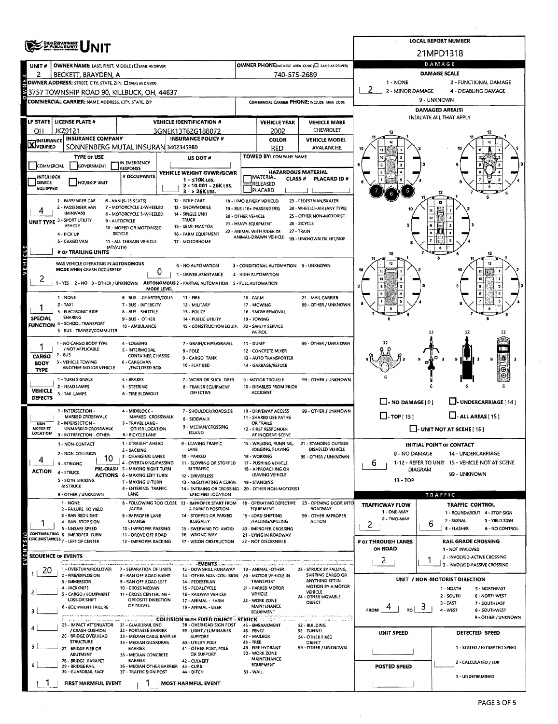|                    | OHO DEPARTMENT<br>OF PUBLIC GAMETY                             |                                                           |                                                                                                                   |                      |                                                         |                                                      |                                   |         | <b>LOCAL REPORT NUMBER</b>                                    |  |  |
|--------------------|----------------------------------------------------------------|-----------------------------------------------------------|-------------------------------------------------------------------------------------------------------------------|----------------------|---------------------------------------------------------|------------------------------------------------------|-----------------------------------|---------|---------------------------------------------------------------|--|--|
|                    | NIT                                                            |                                                           |                                                                                                                   |                      |                                                         |                                                      |                                   |         | 21MPD1318                                                     |  |  |
| UNIT#              | OWNER NAME: LAST, FIRST, MIDDLE (C) SAME AS DRIVER)            |                                                           |                                                                                                                   |                      |                                                         | OWNER PHONE:INCLUDE AREA CODE (E) SAME AS DRIVERY    |                                   |         | DAMAGE                                                        |  |  |
| 2                  | BECKETT, BRAYDEN, A                                            |                                                           |                                                                                                                   |                      | 740-575-2689                                            |                                                      |                                   |         | <b>DAMAGE SCALE</b>                                           |  |  |
|                    | OWNER ADDRESS: STREET, CITY, STATE, ZIP ( C SAME AS DRUCR)     |                                                           |                                                                                                                   |                      |                                                         |                                                      | 1 - NONE                          |         | 3 - FUNCTIONAL DAMAGE                                         |  |  |
|                    | 3757 TOWNSHIP ROAD 90, KILLBUCK, OH, 44637                     |                                                           |                                                                                                                   |                      |                                                         |                                                      | 2 - MINOR DAMAGE                  |         | 4 - DISABLING DAMAGE                                          |  |  |
|                    | <b>COMMERCIAL CARRIER: NAME ADDRESS, CITY, STATE, ZIP</b>      |                                                           |                                                                                                                   |                      |                                                         | COMMERCIAL CARRIER PHONE: INCLUDE AREA CODE          |                                   |         | 9 - UNKNOWN                                                   |  |  |
|                    |                                                                |                                                           |                                                                                                                   |                      |                                                         |                                                      |                                   |         | DAMAGED AREA(S)                                               |  |  |
|                    | LP STATE   LICENSE PLATE #                                     |                                                           | <b>VEHICLE IDENTIFICATION #</b>                                                                                   |                      | <b>VEHICLE YEAR</b>                                     | <b>VEHICLE MAKE</b>                                  |                                   |         | INDICATE ALL THAT APPLY                                       |  |  |
| ОΗ                 | JKZ9121                                                        |                                                           | 3GNEK13T62G188072                                                                                                 |                      | 2002                                                    | CHEVROLET                                            |                                   |         |                                                               |  |  |
|                    | <b>INSURANCE COMPANY</b>                                       |                                                           | <b>INSURANCE POLICY #</b>                                                                                         |                      | <b>COLOR</b>                                            | <b>VEHICLE MODEL</b>                                 |                                   |         |                                                               |  |  |
| <b>X</b> INSURANCE | SONNENBERG MUTAL INSURAN 3402345980                            |                                                           |                                                                                                                   |                      | RED                                                     | AVALANCHE                                            |                                   |         |                                                               |  |  |
|                    | <b>TYPE OF USE</b>                                             |                                                           | US DOT#                                                                                                           |                      | TOWED BY: COMPANY NAME                                  |                                                      |                                   |         |                                                               |  |  |
| COMMERCIAL         | <b>GOVERNMENT</b>                                              | IN EMERGENCY<br>RESPONSE                                  |                                                                                                                   |                      |                                                         |                                                      |                                   |         |                                                               |  |  |
| <b>INTERLOCK</b>   |                                                                | # OCCUPANTS                                               | <b>VEHICLE WEIGHT GVWR/GCWR</b><br>1 - ≤10K LBS.                                                                  |                      | <b>JMATERIAL</b><br>CLASS <sup>#</sup>                  | <b>HAZARDOUS MATERIAL</b><br>PLACARD ID#             |                                   |         |                                                               |  |  |
| DEVICE<br>EQUIPPED | <b>HIT/SKIP UNIT</b>                                           |                                                           | 2 - 10.001 - 26K LBS.                                                                                             |                      | RELEASED                                                |                                                      |                                   |         |                                                               |  |  |
|                    |                                                                |                                                           | $3 - 26K$ LBS.                                                                                                    |                      | PLACARD                                                 |                                                      |                                   |         |                                                               |  |  |
|                    | 1 - PASSENGER CAR<br>2 - PASSENGER VAN                         | 6 - VAN (9-15 SEATS)<br>7 - MOTORCYCLE 2-WHEELED          | 12 - GOLF CART<br>13 - SNOWMOBILE                                                                                 |                      | 18 - LIMO (LIVERY VEHICLE)<br>19 - BUS (16+ PASSENGERS) | 23 - PEDESTRIAN/SKATER<br>24 - WHEELCHAIR (ANY TYPE) |                                   |         | 12                                                            |  |  |
| 4                  | (MINIVAN)                                                      | 8 - MOTORCYCLE 3-WHEELED                                  | 14 - SINGLE UNIT                                                                                                  | 20 - OTHER VEHICLE   |                                                         | 25 - OTHER NON-MOTORIST                              |                                   | 11      |                                                               |  |  |
|                    | UNIT TYPE 3 - SPORT UTILITY<br>VEHICLE                         | 9 - AUTOCYCLE<br>10 - MOPED OR MOTORIZED                  | <b>TRUCK</b><br>15 - SEMI-TRACTOR                                                                                 | 21 - HEAVY EQUIPMENT |                                                         | 26 - BICYCLE                                         |                                   |         |                                                               |  |  |
|                    | 4 - PICK UP                                                    | <b>BICYCLE</b>                                            | 16 - FARM EQUIPMENT                                                                                               |                      | 22 - ANIMAL WITH RIDER OR<br>ANIMAL-DRAWN VEHICLE       | 27 - TRAIN                                           |                                   |         |                                                               |  |  |
|                    | 5 - CARGO VAN                                                  | 11 - ALL TERRAIN VEHICLE                                  | 17 - MOTORHOME                                                                                                    |                      |                                                         | 99 - UNKNOWN OR HIT/SKIP                             |                                   |         |                                                               |  |  |
|                    | # OF TRAILING UNITS                                            | (ATV/UTV)                                                 |                                                                                                                   |                      |                                                         |                                                      | 12                                |         |                                                               |  |  |
| Ŧ                  | WAS VEHICLE OPERATING IN AUTONOMOUS                            |                                                           |                                                                                                                   |                      |                                                         |                                                      |                                   |         |                                                               |  |  |
|                    | MODE WHEN CRASH OCCURRED?                                      | 0                                                         | 0 - NO AUTOMATION                                                                                                 |                      | 3 - CONDITIONAL AUTOMATION 9 - UNKNOWN                  |                                                      |                                   |         |                                                               |  |  |
| z                  |                                                                |                                                           | 1 - DRIVER ASSISTANCE<br>1 - YES 2 - NO 9 - OTHER / UNKNOWN AUTONOMOUS 2 - PARTIAL AUTOMATION 5 - FULL AUTOMATION |                      | 4 - HIGH AUTOMATION                                     |                                                      |                                   |         |                                                               |  |  |
|                    |                                                                | MODE LEVEL                                                |                                                                                                                   |                      |                                                         |                                                      | 9                                 |         |                                                               |  |  |
|                    | 1 - NONE                                                       | 6 - BUS - CHARTER/TOUR                                    | $11 - FIRE$                                                                                                       | 16 - FARM            |                                                         | 21 - MAIL CARRIER                                    |                                   |         |                                                               |  |  |
|                    | 2 - TAXI                                                       | 7 - BUS - INTERCITY                                       | 12 - MILITARY                                                                                                     |                      | 17 - MOWING                                             | 99 - OTHER / UNKNOWN                                 |                                   |         |                                                               |  |  |
| <b>SPECIAL</b>     | - ELECTRONIC RIDE<br><b>SHARING</b>                            | 8 - BUS - SHUTTLE<br>9 - BUS - OTHER                      | 13 - POLICE<br>14 - PUBLIC UTILITY                                                                                |                      | 18 - SNOW REMOVAL<br>19 - TOWING                        |                                                      |                                   |         |                                                               |  |  |
|                    | <b>FUNCTION 4 - SCHOOL TRANSPORT</b>                           | 10 - AMBULANCE                                            | 15 - CONSTRUCTION EQUIP. 20 - SAFETY SERVICE                                                                      |                      |                                                         |                                                      |                                   |         |                                                               |  |  |
|                    | S - BUS - TRANSIT/COMMUTER                                     |                                                           |                                                                                                                   |                      | PATROL                                                  |                                                      |                                   | 12      | 12                                                            |  |  |
|                    | 1 - NO CARGO BODY TYPE<br>/ NOT APPLICABLE                     | 4 - LOGGING                                               | 7 - GRAIN/CHIPS/GRAVEL                                                                                            | 11 - DUMP            |                                                         | 99 - OTHER / UNKNOWN                                 |                                   |         |                                                               |  |  |
| CARGO              | 2 - 8US                                                        | S - INTERMODAL<br><b>CONTAINER CHASSIS</b>                | 8 - POLE<br>9 - CARGO TANK                                                                                        |                      | 12 - CONCRETE MIXER<br>13 - AUTO TRANSPORTER            |                                                      |                                   |         |                                                               |  |  |
| <b>BODY</b>        | 3 - VEHICLE TOWING                                             | 6 - CARGOVAN                                              | 10 - FLAT BED                                                                                                     |                      | 14 - GARBAGE/REFUSE                                     |                                                      |                                   |         | 9<br>9                                                        |  |  |
| <b>TYPE</b>        | ANOTHER MOTOR VEHICLE                                          | /ENCLOSED BOX                                             |                                                                                                                   |                      |                                                         |                                                      |                                   |         | Θ                                                             |  |  |
|                    | 1 - TURN SIGNALS                                               | 4 - 8RAKES                                                | 7 - WORN OR SLICK TIRES                                                                                           |                      | 9 - MOTOR TROUBLE                                       | 99 - OTHER / UNKNOWN                                 |                                   |         |                                                               |  |  |
| <b>VEHICLE</b>     | 2 - HEAD LAMPS<br>3 - TAIL LAMPS                               | 5 - STEERING<br>6 - TIRE BLOWOUT                          | 8 - TRAILER EQUIPMENT<br>DEFECTIVE                                                                                |                      | 10 - DISABLED FROM PRIOR<br><b>ACCIDENT</b>             |                                                      |                                   |         |                                                               |  |  |
| <b>DEFECTS</b>     |                                                                |                                                           |                                                                                                                   |                      |                                                         |                                                      | $\Box$ - NO DAMAGE $\Box$         |         | J- UNDERCARRIAGE [14]                                         |  |  |
|                    | 1 - INTERSECTION -                                             | 4 - MIDBLOCK -                                            | 7 - SHOULDER/ROADSIDE                                                                                             |                      | 10 - DRIVEWAY ACCESS                                    | 99 - OTHER / UNKNOWN                                 |                                   |         |                                                               |  |  |
| NON-               | MARKED CROSSWALK<br>2 - INTERSECTION -                         | MARKED CROSSWALK<br>S - TRAVEL LANE -                     | <b>B-SIDEWALK</b>                                                                                                 |                      | 11 - SHARED USE PATHS<br>OR TRAILS                      |                                                      | $\Box$ -TOP[13]                   |         | $\Box$ - ALL AREAS [15]                                       |  |  |
| <b>MOTORIST</b>    | UNMARKED CROSSWALK                                             | OTHER LOCATION                                            | 9 - MEDIAN/CROSSING<br><b>ISLAND</b>                                                                              |                      | 12 - FIRST RESPONDER                                    |                                                      | $\Box$ - UNIT NOT AT SCENE [ 16 ] |         |                                                               |  |  |
| LOCATION           | 3 - INTERSECTION - OTHER                                       | <b>6 - BICYCLE LANE</b>                                   |                                                                                                                   |                      | AT INCIDENT SCENE                                       |                                                      |                                   |         |                                                               |  |  |
|                    | 1 - NON-CONTACT                                                | 1 - STRAIGHT AHEAD<br>2 - BACKING                         | 9 - LEAVING TRAFFIC<br>LANE                                                                                       |                      | 15 - WALKING, RUNNING,<br>JOGGING, PLAYING              | 21 - STANDING OUTSIDE<br><b>DISABLED VEHICLE</b>     |                                   |         | INITIAL POINT OF CONTACT                                      |  |  |
|                    | 2 - NON-COLLISION<br>10                                        | 3 - CHANGING LANES                                        | 10 - PARKED                                                                                                       |                      | 16 - WORKING                                            | 99 - OTHER / UNKNOWN                                 | 0 - NO DAMAGE                     |         | 14 - UNDERCARRIAGE                                            |  |  |
|                    | 3 - STRIKING                                                   | 4 - OVERTAKING/PASSING<br>PRE-CRASH 5 - MAKING RIGHT TURN | 11 - SLOWING OR STOPPED<br>IN TRAFFIC                                                                             |                      | 17 - PUSHING VEHICLE<br>18 - APPROACHING OR             |                                                      | 6                                 | DIAGRAM | 1-12 - REFER TO UNIT 15 - VEHICLE NOT AT SCENE                |  |  |
| <b>ACTION</b>      | 4 - STRUCK                                                     | <b>ACTIONS 6 - MAKING LEFT TURN</b>                       | 12 - DRIVERLESS                                                                                                   |                      | LEAVING VEHICLE                                         |                                                      | 13 - TOP                          |         | 99 - UNKNOWN                                                  |  |  |
|                    | 5 - BOTH STRIKING<br><b>&amp; STRUCK</b>                       | 7 - MAKING U-TURN<br>8 - ENTERING TRAFFIC                 | 13 - NEGOTIATING A CURVE<br>19 - STANDING<br>14 - ENTERING OR CROSSING 20 - OTHER NON-MOTORIST                    |                      |                                                         |                                                      |                                   |         |                                                               |  |  |
|                    | 9 - OTHER / UNKNOWN                                            | LANE                                                      | SPECIFIED LOCATION                                                                                                |                      |                                                         |                                                      |                                   |         | <b>TRAFFIC</b>                                                |  |  |
|                    | 1 NONE                                                         |                                                           | 8 - FOLLOWING TOO CLOSE 13 - IMPROPER START FROM                                                                  |                      | 18 - OPERATING DEFECTIVE                                | 23 - OPENING DOOR INTO                               | TRAFFICWAY FLOW                   |         | TRAFFIC CONTROL                                               |  |  |
|                    | 2 - FAILURE TO YIELD<br>3 - RAN RED LIGHT                      | /ACDA<br>9 - IMPROPER LANE                                | A PARKED POSITION<br>14 - STOPPED OR PARKED                                                                       |                      | EQUIPMENT<br>19 - LOAD SHIFTING                         | ROADWAY<br>99 - OTHER IMPROPER                       | 1 - ONE-WAY                       |         | 1 - ROUNDABOUT 4 - STOP SIGN                                  |  |  |
|                    | 4 - RAN STOP SIGN                                              | CHANGE                                                    | <b>ILLEGALLY</b>                                                                                                  |                      | /FALLING/SPILLING                                       | <b>ACTION</b>                                        | 2 - TWO-WAY<br>2                  | 6       | 2 - SIGNAL<br>5 - YIELD SIGN                                  |  |  |
|                    | 5 - UNSAFE SPEED<br>CONTRIBUTING 6 - IMPROPER TURN             | 10 - IMPROPER PASSING<br>11 - DROVE OFF ROAD              | 15 - SWERVING TO AVOID<br>16 - WRONG WAY                                                                          |                      | 20 - IMPROPER CROSSING<br>21 - LYING IN ROADWAY         |                                                      |                                   |         | 3 - FLASHER<br>6 - NO CONTROL                                 |  |  |
|                    | CIRCUMSTANCES 7 - LEFT OF CENTER                               | 12 - IMPROPER BACKING                                     | 17 - VISION OBSTRUCTION                                                                                           |                      | 22 - NOT DISCERNIBLE                                    |                                                      | # or THROUGH LANES                |         | <b>RAIL GRADE CROSSING</b>                                    |  |  |
| z                  |                                                                |                                                           |                                                                                                                   |                      |                                                         |                                                      | ON ROAD                           |         | 1 - NOT INVLOVED                                              |  |  |
|                    | <b>SEQUENCE OF EVENTS</b><br>k<br>Saari witimaan <b>ada</b> an |                                                           | <b>ALL AEVENTS.</b>                                                                                               |                      |                                                         |                                                      | 2                                 | 1       | 2 - INVOLVED-ACTIVE CROSSING<br>3 - INVOLVED-PASSIVE CROSSING |  |  |
| 20                 | 1 - OVERTURN/ROLLOVER                                          | 7 - SEPARATION OF UNITS                                   | 12 - DOWNHILL RUNAWAY                                                                                             |                      | 19 - ANIMAL -OTHER                                      | 23 - STRUCK BY FALLING,                              |                                   |         |                                                               |  |  |
|                    | 2 - FIRE/EXPLOSION<br>3 - IMMERSION                            | 8 - RAN OFF ROAD RIGHT<br>9 - RAN OFF ROAD LEFT           | 13 - OTHER NON-COLLISION 20 - MOTOR VEHICLE IN<br>14 - PEDESTRIAN                                                 |                      | TRANSPORT                                               | SHIFTING CARGO OR<br>ANYTHING SET IN                 |                                   |         | UNIT / NON-MOTORIST DIRECTION                                 |  |  |
|                    | 4 - JACKKNIFE                                                  | 10 - CROSS MEDIAN                                         | 1S - PEDALCYCLE                                                                                                   |                      | 21 - PARKED MOTOR                                       | MOTION BY A MOTOR<br>VEHICLE                         |                                   |         | 1 NORTH<br><b>S-NORTHEAST</b>                                 |  |  |
|                    | 5 - CARGO / EQUIPMENT<br>LOSS OR SHIFT                         | 11 - CROSS CENTERLINE -<br>OPPOSITE DIRECTION             | 16 - RAILWAY VEHICLE<br>17 - ANIMAL - FARM                                                                        |                      | <b>VEHICLE</b><br>22 - WORK ZONE                        | 24 - OTHER MOVABLE                                   |                                   |         | 2 - SOUTH<br>6 - NORTHWEST                                    |  |  |
| з                  | <b>6 - EQUIPMENT FAILURE</b>                                   | OF TRAVEL                                                 | 18 - ANIMAL - DEER                                                                                                |                      | <b>MAINTENANCE</b>                                      | OBJECT                                               | <b>FROM</b><br>TO.                | 3       | 3 - EAST<br>7 - SOUTHEAST<br>4 - WEST<br>8 - SOUTHWEST        |  |  |
|                    |                                                                |                                                           | <b>COLLISION WITH FIXED OBJECT - STRUCK</b>                                                                       |                      | <b>EQUIPMENT</b>                                        |                                                      |                                   |         | 9 - OTHER / UNKNOWN                                           |  |  |
|                    | 25 - IMPACT ATTENUATOR 31 - GUARDRAIL END                      | 32 - PORTABLE BARRIER                                     | 38 - OVERHEAD SIGN POST                                                                                           |                      | 45 - EMBANKMENT                                         | 52 - BUILDING                                        |                                   |         |                                                               |  |  |
|                    | / CRASH CUSHION<br>26 - BRIDGE OVERHEAD                        | 33 - MEDIAN CABLE BARRIER                                 | 39 - LIGHT / LUMINARIES<br><b>SUPPORT</b>                                                                         | 46 - FENCE           | 47 - MAILBOX                                            | 53 - TUNNEL<br>54 - OTHER FIXED                      | <b>UNIT SPEED</b>                 |         | DETECTED SPEED                                                |  |  |
|                    | <b>STRUCTURE</b><br>27 - BRIDGE PIER OR                        | 34 - MEDIAN GUARDRAIL<br><b>BARRIER</b>                   | 40 - UTILITY POLE<br>41 - OTHER POST, POLE                                                                        | 4B - TREE            | 49 - FIRE HYDRANT                                       | OBJECT<br>99 - OTHER / UNKNOWN                       |                                   |         | 1 - STATED / ESTIMATED SPEED                                  |  |  |
|                    | <b>ABUTMENT</b>                                                | 35 - MEDIAN CONCRETE                                      | OR SUPPORT                                                                                                        |                      | 50 - WORK ZONE                                          |                                                      |                                   |         |                                                               |  |  |
|                    | 28 - BRIDGE PARAPET<br>29 - BRIDGE RAIL                        | <b>BARRIER</b><br>36 - MEDIAN OTHER BARRIER 43 - CURB     | 42 - CULVERT                                                                                                      |                      | MAINTENANCE<br>EQUIPMENT                                |                                                      | POSTED SPEED                      |         | 2 - CALCULATED / EDR                                          |  |  |
|                    | 30 - GUARDRAIL FACE                                            | 37 - TRAFFIC SIGN POST                                    | 44 - DITCH                                                                                                        | 51 - WALL            |                                                         |                                                      |                                   |         |                                                               |  |  |
|                    | FIRST HARMFUL EVENT                                            |                                                           | <b>MOST HARMFUL EVENT</b>                                                                                         |                      |                                                         |                                                      |                                   |         | 3 - UNDETERMINED                                              |  |  |
|                    |                                                                |                                                           |                                                                                                                   |                      |                                                         |                                                      |                                   |         |                                                               |  |  |

 $\overline{a}$ 

 $\mathcal{A}^{\mathcal{A}}$ 

 $\bar{\gamma}$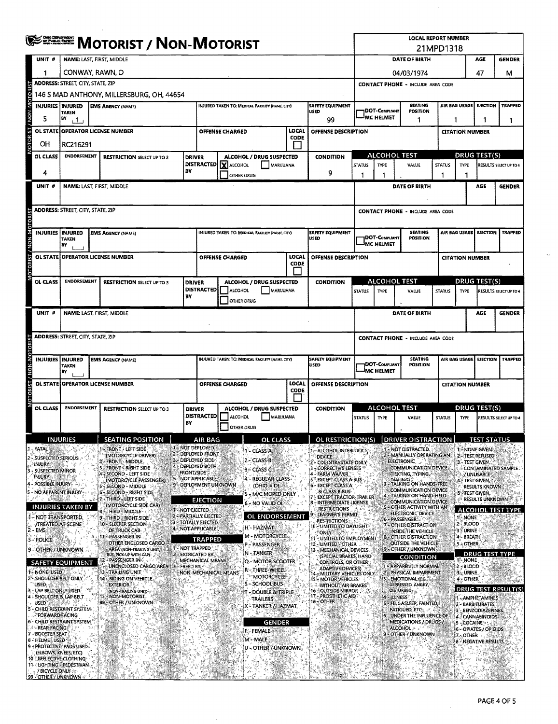|                                                           |                                                                                                                       | <b>EXERCIA MOTORIST / NON-MOTORIST</b>                                                             |                     |                                                                               |                        |                                                           |                                 |                                                                                               |                                                                        |                   |                                             | <b>LOCAL REPORT NUMBER</b><br>21MPD1318                    |                |                              |                                                            |                        |
|-----------------------------------------------------------|-----------------------------------------------------------------------------------------------------------------------|----------------------------------------------------------------------------------------------------|---------------------|-------------------------------------------------------------------------------|------------------------|-----------------------------------------------------------|---------------------------------|-----------------------------------------------------------------------------------------------|------------------------------------------------------------------------|-------------------|---------------------------------------------|------------------------------------------------------------|----------------|------------------------------|------------------------------------------------------------|------------------------|
| UNIT <sub>#</sub>                                         | <b>NAME: LAST, FIRST, MIDDLE</b>                                                                                      |                                                                                                    |                     |                                                                               |                        |                                                           |                                 | <b>DATE OF BIRTH</b><br>AGE                                                                   |                                                                        |                   |                                             |                                                            |                |                              | <b>GENDER</b>                                              |                        |
|                                                           | CONWAY, RAWN, D                                                                                                       |                                                                                                    |                     |                                                                               |                        |                                                           |                                 |                                                                                               | 04/03/1974                                                             |                   |                                             |                                                            |                |                              | 47                                                         | м                      |
|                                                           | <b>ADDRESS: STREET, CITY, STATE, ZIP</b>                                                                              |                                                                                                    |                     |                                                                               |                        |                                                           |                                 |                                                                                               |                                                                        |                   |                                             | <b>CONTACT PHONE - INCLUDE AREA CODE</b>                   |                |                              |                                                            |                        |
| OTORI                                                     |                                                                                                                       | 146 S MAD ANTHONY, MILLERSBURG, OH. 44654                                                          |                     |                                                                               |                        |                                                           |                                 |                                                                                               |                                                                        |                   |                                             |                                                            |                |                              |                                                            |                        |
| <b>INJURIES INJURED</b><br><b>NON-M</b>                   | <b>TAKEN</b>                                                                                                          | <b>EMS AGENCY (NAME)</b>                                                                           |                     |                                                                               |                        | <b>INJURED TAKEN TO: MEDICAL FACILITY (NAME, CITY)</b>    |                                 | <b>SAFETY EQUIPMENT</b><br>USED                                                               |                                                                        | DOT-COMPLIANT     |                                             | <b>SEATING</b><br>POSITION                                 |                |                              | AIR BAG USAGE EJECTION                                     | <b>TRAPPED</b>         |
| 5                                                         | BY<br>$+1$                                                                                                            |                                                                                                    |                     |                                                                               |                        |                                                           |                                 | 99                                                                                            |                                                                        | <b>IMC HELMET</b> |                                             | 1                                                          |                | 1<br>1                       |                                                            |                        |
| <b>P</b>                                                  |                                                                                                                       | OL STATE OPERATOR LICENSE NUMBER                                                                   |                     |                                                                               | <b>OFFENSE CHARGED</b> |                                                           | LOCAL<br><b>CODE</b>            | OFFENSE DESCRIPTION                                                                           |                                                                        |                   |                                             |                                                            |                |                              | <b>CITATION NUMBER</b>                                     |                        |
| OΗ                                                        | RC216291                                                                                                              |                                                                                                    |                     |                                                                               |                        |                                                           |                                 |                                                                                               |                                                                        |                   |                                             |                                                            |                |                              |                                                            |                        |
| OL CLASS                                                  | <b>ENDORSEMENT</b>                                                                                                    | <b>RESTRICTION SELECT UP TO 3</b>                                                                  | <b>DRIVER</b>       | <b>DISTRACTED</b>                                                             | X ALCOHOL              | ALCOHOL / DRUG SUSPECTED<br><b>MARIJUANA</b>              |                                 | <b>CONDITION</b>                                                                              | <b>STATUS</b>                                                          | <b>TYPE</b>       | <b>ALCOHOL TEST</b>                         | VALUE                                                      | <b>STATUS</b>  | TYPE                         | DRUG TEST(S)                                               | RESULTS SELECT UP TO 4 |
| 4                                                         |                                                                                                                       |                                                                                                    | BY                  |                                                                               |                        | <b>OTHER DRUG</b>                                         |                                 | 9                                                                                             | П                                                                      | 1                 |                                             |                                                            | -1             | n                            |                                                            |                        |
| UNIT #                                                    | <b>NAME: LAST, FIRST, MIDDLE</b>                                                                                      |                                                                                                    |                     |                                                                               |                        |                                                           |                                 |                                                                                               |                                                                        |                   |                                             | DATE OF BIRTH                                              |                |                              | AGE                                                        | <b>GENDER</b>          |
|                                                           |                                                                                                                       |                                                                                                    |                     |                                                                               |                        |                                                           |                                 |                                                                                               |                                                                        |                   |                                             |                                                            |                |                              |                                                            |                        |
| <b>CTORIST</b>                                            | ADDRESS: STREET, CITY, STATE, ZIP                                                                                     |                                                                                                    |                     |                                                                               |                        |                                                           |                                 |                                                                                               |                                                                        |                   |                                             | <b>CONTACT PHONE - INCLUDE AREA CODE</b>                   |                |                              |                                                            |                        |
| <b>M-NON</b><br><b>INJURIES INJURED</b>                   | <b>TAKEN</b><br>BY                                                                                                    | <b>EMS AGENCY (NAME)</b>                                                                           |                     |                                                                               |                        | INJURED TAKEN TO: MEDICAL FACILITY (NAME, CITY)           |                                 | <b>SAFETY EQUIPMENT</b><br><b>USED</b>                                                        | <b>SEATING</b><br>DOT-COMPLIANT<br><b>POSITION</b><br><b>MC HELMET</b> |                   |                                             |                                                            |                |                              | AIR BAG USAGE EJECTION                                     | <b>TRAPPED</b>         |
| <b>OL STATE</b>                                           |                                                                                                                       | <b>OPERATOR LICENSE NUMBER</b>                                                                     |                     |                                                                               | <b>OFFENSE CHARGED</b> |                                                           | LOCAL<br><b>CODE</b>            | OFFENSE DESCRIPTION                                                                           |                                                                        |                   |                                             |                                                            |                |                              | <b>CITATION NUMBER</b>                                     |                        |
| OL CLASS                                                  | <b>ENDORSEMENT</b>                                                                                                    | <b>RESTRICTION SELECT UP TO 3</b>                                                                  | <b>DRIVER</b>       |                                                                               |                        | ALCOHOL / DRUG SUSPECTED                                  |                                 | <b>CONDITION</b>                                                                              |                                                                        |                   | <b>ALCOHOL TEST</b>                         |                                                            |                |                              | <b>DRUG TEST(S)</b>                                        |                        |
|                                                           |                                                                                                                       |                                                                                                    | BY                  | <b>DISTRACTED</b>                                                             | <b>ALCOHOL</b>         | MARIJUANA<br><b>OTHER DRUG</b>                            |                                 |                                                                                               | <b>STATUS</b>                                                          | TYPE              |                                             | VALUE                                                      | <b>STATUS</b>  | TYPE                         |                                                            | RESULTS SELECT UP TO 4 |
| UNIT #                                                    | <b>NAME: LAST, FIRST, MIDDLE</b>                                                                                      |                                                                                                    |                     |                                                                               |                        |                                                           |                                 |                                                                                               |                                                                        |                   |                                             | DATE OF BIRTH                                              |                |                              | AGE                                                        | <b>GENDER</b>          |
|                                                           | <b>ADDRESS: STREET, CITY, STATE, ZIP</b>                                                                              |                                                                                                    |                     |                                                                               |                        |                                                           |                                 |                                                                                               |                                                                        |                   |                                             | <b>CONTACT PHONE - INCLUDE AREA CODE</b>                   |                |                              |                                                            |                        |
| NON-N                                                     | INJURIES INJURED<br>INJURED TAKEN TO: MEDICAL FACILITY (NAME, CITY)<br><b>EMS AGENCY (NAME)</b><br><b>TAKEN</b><br>B٧ |                                                                                                    |                     |                                                                               |                        |                                                           | <b>SAFETY EQUIPMENT</b><br>USED | <b>SEATING</b><br>AIR BAG USAGE<br>DOT-COMPLIANT<br><b>POSITION</b><br><sup>I</sup> MC HELMET |                                                                        |                   |                                             | <b>EJECTION</b>                                            | <b>TRAPPED</b> |                              |                                                            |                        |
|                                                           |                                                                                                                       | OL STATE OPERATOR LICENSE NUMBER                                                                   |                     |                                                                               | OFFENSE CHARGED        |                                                           | LOCAL<br><b>CODE</b>            | OFFENSE DESCRIPTION                                                                           |                                                                        |                   |                                             |                                                            |                |                              | <b>CITATION NUMBER</b>                                     |                        |
| OL CLASS                                                  | <b>ENDORSEMENT</b>                                                                                                    | <b>RESTRICTION SELECT UP TO 3</b>                                                                  | <b>DRIVER</b><br>BY | <b>DISTRACTED</b>                                                             | <b>ALCOHOL</b>         | ALCOHOL / DRUG SUSPECTED<br>MARUUANA<br><b>OTHER DRUG</b> |                                 | <b>CONDITION</b>                                                                              | <b>STATUS</b>                                                          | <b>TYPE</b>       | ALCOHOL TEST                                | VALUE                                                      | <b>STATUS</b>  | <b>TYPE</b>                  | <b>DRUG TEST(S)</b>                                        | RESULTS SELECT UP TO 4 |
|                                                           | IN JURIES.                                                                                                            | SEATING POSITION                                                                                   |                     | AIR RAG                                                                       |                        | OF CLASS                                                  |                                 | OL RESTRICTIONIS) IDRIVER DISTRACTION                                                         |                                                                        |                   |                                             |                                                            |                |                              | <b>TEST STATUS</b>                                         |                        |
| <b>FATAL</b><br><b>SUSPECTED SERIOUS</b><br><b>INJURY</b> |                                                                                                                       | <b>1 FERONT - LEFT SIDE</b><br>(MOTORCYCLE DRIVER)<br>2 - FRONT - MIDDLE .<br>- FRONT - RIGHT SIDE |                     | 1 - NOT DEPLOYED<br>2 DEPLOYED FRONT<br>3. DEPLOYED SIDE<br>4 - DEPLOYED BOTH |                        | 1 - CLASS A<br>$2 - ClassB$                               |                                 | ALCOHOL INTERLOCK.<br><b>DEVICE</b><br>CDL INTRASTATE ONLY<br><b>CORRECTIVE LENSES</b>        |                                                                        |                   | <b>NOT DISTRACTED.</b><br><b>ELECTRONIC</b> | 2 - MANUALLY OPERATING AN<br>COMMUNICATION DEVICE.         |                |                              | 1 - NONE GIVEN<br>2-TEST REFUSED<br><b>3 - TEST GIVEN,</b> | CONTAMINATED SAMPLE.   |
| SUSPECTED MINOR<br><b>INJURY</b>                          |                                                                                                                       | SECOND - LEFT SIDE<br>(MOTORCYCLE PASSENGER)                                                       | <b>FRONT/SIDE</b>   | NOT APPLICABLE                                                                |                        | 3 - CLASS C<br>4 - REGULAR CLASS                          |                                 | <b>FARM WAIVER</b><br><b>EXCEPT CLASS A BUS</b>                                               |                                                                        |                   | DIALING)                                    | (TEXTING, TYPING,                                          |                |                              | / UNUSABLE<br>4 - TEST GIVEN,                              |                        |
| POSSIBLE INJURY<br>NO APPARENT INJURY-                    |                                                                                                                       | - SECOND - MIDDLE<br>SECOND - RIGHT SIDE                                                           |                     | 9 - DEPLOYMENT UNKNOWN                                                        |                        | (OHIO = D).<br>5 - M/C MOPED ONLY                         |                                 | <b>EXCEPT CLASS A</b><br><b>8LCLASS B BUS</b>                                                 |                                                                        |                   |                                             | TALKING ON HANDS-FREE<br><b>COMMUNICATION DEVICE</b>       |                |                              | RESULTS KNOWN<br>5 - TEST GIVEN,                           |                        |
| 53.63                                                     |                                                                                                                       | THIRD - LEET SIDE<br><b>IMOTORCYCLE SIDE CAR)</b>                                                  |                     | EJECTION                                                                      |                        | 6 - NO VALID OL                                           |                                 | <b>EXCEPT TRACTOR-TRAILER</b><br>INTERMEDIATE LICENSE                                         |                                                                        |                   |                                             | - TALKING ON HAND HELD<br><b>COMMUNICATION DEVICE</b>      |                |                              | <b>RESULTS UNKNOWN</b>                                     |                        |
| 'NOT TRANSPORTED.                                         | <b>INJURIES TAKEN BY</b>                                                                                              | <b>B-THIRD MIDDLE</b><br>9-THIRD-RIGHT SIDE                                                        | - NOT EIECTED       | 2 - PARTIALLY EJECTED                                                         |                        | OL ENDORSEMENT                                            |                                 | RESTRICTIONS<br>LEARNER'S PERMIT                                                              |                                                                        |                   | 6 - PASSENGER!                              | OTHER ACTIVITY WITH AN<br>ELECTRONIC DEVICE.               |                | - NONE                       | <b>ALCOHOL TEST TYP</b>                                    |                        |
| <b><i>ITREATED AT SCENE</i></b><br>12.<br>- EMS           |                                                                                                                       | 10 - SLEEPER SECTION<br>OF TRUCK CAB                                                               |                     | 3 - TOTALLY EJECTED.<br>4 - NOT APPLICABLE                                    |                        | H - HAZMAT                                                |                                 | <b>RESTRICTIONS</b><br>10 - UMITED TO DAYUGHT.<br><b>ONLY</b>                                 |                                                                        |                   |                                             | - OTHER DISTRACTION<br>Inside the vehicle -                |                | 2 - BLOOD<br>3 - URINE       |                                                            |                        |
| 3 - POLICE                                                |                                                                                                                       | 11 - PASSENGER IN<br>OTHER ENCLOSED CARGO                                                          |                     | <b>TRAPPED</b>                                                                |                        | <b>M - MOTORCYCLE</b><br>P – PASSENGER                    |                                 | - LIMITED TO EMPLOYMENT<br>12 - LIMITED - OTHER                                               |                                                                        |                   |                                             | <b>8 - OTHER DISTRACTION</b><br><b>OUTSIDE THE VEHICLE</b> |                | 4 - BREATH<br><b>5 OTHER</b> |                                                            |                        |
| 9 - OTHER / UNKNOWN                                       |                                                                                                                       | AREA (NON-TRAILING UNIT,<br>BUS, PICK-UP WITH CAP).                                                | <b>MOT TRAPPED</b>  | 2 - EXTRICATED BY                                                             |                        | IN - TANKER                                               |                                 | 13 MECHANICAL DEVICES<br>(SPECIAL BRAKES, HAND                                                |                                                                        |                   |                                             | 9 - OTHER / UNKNOWN<br>CONDITION                           |                |                              | <b>DRUG TEST TYPE</b>                                      |                        |
| NONE USED                                                 | <b>SAFETY EQUIPMENT</b>                                                                                               | - PASSENGER IN ?<br>UNENCLOSED CARGO AREA : 3 - FREED BY -<br>TRAILING UNIT                        |                     | MECHANICAL MEANS                                                              |                        | Q - MOTOR SCOOTER<br>r - Three-Wheel                      |                                 | CONTROLS, OR OTHER<br><b>ADAPTIVE DEVICES)</b>                                                |                                                                        |                   |                                             | <b>APPARENTLY NORMAL</b>                                   |                | 1- NONE<br>2 - BLOOD         |                                                            |                        |
| 2 - SHOULDER BELT ONLY<br>USED.                           |                                                                                                                       | 14 - RIDING ON VEHICLE.<br><b>EXTERIOR</b>                                                         |                     |                                                                               | NON-MECHANICAL MEANS   | <b>MOTORCYCLE</b><br>S - SCHOOL BUS                       |                                 | 14 - MILITARY VEHICLES ONLY.<br><b>15 - MOTOR VEHICLES</b><br>WITHOUT AIR BRAKES              |                                                                        |                   | 3 - EMOTIONAL (E.G.<br>DEPRESSED, ANGRY,    | - PHYSICAL IMPAIRMENT                                      |                | 3 J. URINE<br>4 - OTHER      |                                                            |                        |
| LAP BELT ONLY USED.<br>4 - SHOULDER & LAP BELT            |                                                                                                                       | (NON-TRAILING UNIT)<br>NON-MOTORIST                                                                |                     |                                                                               |                        | <b>T - DOUBLE &amp; TRIPLE</b>                            |                                 | <b>16 - OUTSIDE MIRROR</b><br>PROSTHETIC AID<br>17 -                                          |                                                                        |                   | <b>OISTURBED</b><br>4 - ILLNESS             |                                                            |                |                              | 1-AMPHETAMINES                                             | DRUG TEST RESULT(S)    |
| USED.<br>5 - CHILD RESTRAINT SYSTEM                       |                                                                                                                       | 99 OTHER / UNKNOWN                                                                                 |                     |                                                                               |                        | TRAILERS<br>X - TANKER / HAZMAT                           |                                 | 18 - OTHER                                                                                    |                                                                        |                   | <b>FATIGUED, ETC.</b>                       | 5 - FELL ASLEEP, FAINTED, I                                |                |                              | 2 - BARBITURATES<br><b>BENZODIAZEPINES</b>                 |                        |
| FORWARD FACING<br>6 - CHILD RESTRAINT SYSTEM              |                                                                                                                       |                                                                                                    |                     |                                                                               |                        | <b>GENDER</b>                                             |                                 |                                                                                               |                                                                        |                   |                                             | UNDER THE INFLUENCE OF<br>MEDICATIONS / DRUGS /            |                |                              | 4 CANNABINOIDS<br>5 - COCAINE >                            |                        |
| <b>REAR FACING</b><br>7 - BOOSTER SEAT                    |                                                                                                                       |                                                                                                    |                     |                                                                               |                        | <b>FEFEMALE</b>                                           |                                 |                                                                                               |                                                                        |                   | ALCOHOL SA                                  | OTHER / UNKNOWN                                            |                | 7. OTHER                     | 6 - OPIATES / OPIOIDS                                      |                        |
| 8 - HELMET USED<br>9 - PROTECTIVE: PADS USED.             |                                                                                                                       |                                                                                                    |                     |                                                                               |                        | M MALE<br>U'- OTHER / UNKNOWN                             |                                 |                                                                                               |                                                                        |                   |                                             |                                                            |                |                              | <b>8 - NEGATIVE RESULTS</b>                                |                        |
| (ELBOWS, KNEES, ETC)<br>10 - REFLECTIVE CLOTHING          |                                                                                                                       |                                                                                                    |                     |                                                                               |                        |                                                           |                                 |                                                                                               |                                                                        |                   |                                             |                                                            |                |                              |                                                            |                        |
| 11 - LIGHTING - PEDESTRIAN<br>/ BICYCLE ONLY              |                                                                                                                       |                                                                                                    |                     |                                                                               |                        |                                                           |                                 |                                                                                               |                                                                        |                   |                                             |                                                            |                |                              |                                                            |                        |

 $\bar{z}$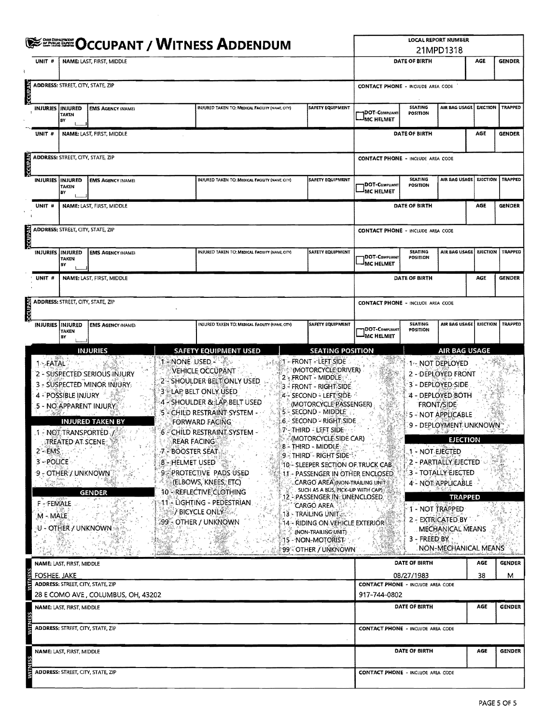| <b>WITH OCCUPANT / WITNESS ADDENDUM</b>                      |                                                                                                                                                  |                                                                                                                                                                                            |                                     |                                                                                                                                                                                                                                                                                                                                                                                                                   |                                                                                                                                                                                                                                                                                                                                                                                                                                                                                                                                                                                                                                                                           |                                          | <b>LOCAL REPORT NUMBER</b><br>21MPD1318              |                                                                                                                                                                                                                                                                                                                                  |                 |                    |  |  |
|--------------------------------------------------------------|--------------------------------------------------------------------------------------------------------------------------------------------------|--------------------------------------------------------------------------------------------------------------------------------------------------------------------------------------------|-------------------------------------|-------------------------------------------------------------------------------------------------------------------------------------------------------------------------------------------------------------------------------------------------------------------------------------------------------------------------------------------------------------------------------------------------------------------|---------------------------------------------------------------------------------------------------------------------------------------------------------------------------------------------------------------------------------------------------------------------------------------------------------------------------------------------------------------------------------------------------------------------------------------------------------------------------------------------------------------------------------------------------------------------------------------------------------------------------------------------------------------------------|------------------------------------------|------------------------------------------------------|----------------------------------------------------------------------------------------------------------------------------------------------------------------------------------------------------------------------------------------------------------------------------------------------------------------------------------|-----------------|--------------------|--|--|
| UNIT #                                                       |                                                                                                                                                  | NAME: LAST, FIRST, MIDDLE                                                                                                                                                                  |                                     | DATE OF BIRTH                                                                                                                                                                                                                                                                                                                                                                                                     |                                                                                                                                                                                                                                                                                                                                                                                                                                                                                                                                                                                                                                                                           | AGE                                      | <b>GENDER</b>                                        |                                                                                                                                                                                                                                                                                                                                  |                 |                    |  |  |
| <b>DCCUPAN</b>                                               | ADDRESS: STREET, CITY, STATE, ZIP                                                                                                                |                                                                                                                                                                                            |                                     |                                                                                                                                                                                                                                                                                                                                                                                                                   |                                                                                                                                                                                                                                                                                                                                                                                                                                                                                                                                                                                                                                                                           | <b>CONTACT PHONE - INCLUDE AREA CODE</b> |                                                      |                                                                                                                                                                                                                                                                                                                                  |                 |                    |  |  |
|                                                              | INJURIES   INJURED<br><b>TAKEN</b><br>BY                                                                                                         | <b>EMS AGENCY (NAME)</b>                                                                                                                                                                   |                                     | INJURED TAKEN TO: MEDICAL FACILITY (NAME, CITY)                                                                                                                                                                                                                                                                                                                                                                   | <b>SAFETY EQUIPMENT</b>                                                                                                                                                                                                                                                                                                                                                                                                                                                                                                                                                                                                                                                   | <b>DOT-COMPLIANT</b><br>MC HELMET-       | SEATING<br>POSITION                                  | AIR BAG USAGE                                                                                                                                                                                                                                                                                                                    | <b>EJECTION</b> | <b>TRAPPED</b>     |  |  |
| UNIT #                                                       |                                                                                                                                                  | NAME: LAST, FIRST, MIDDLE                                                                                                                                                                  |                                     |                                                                                                                                                                                                                                                                                                                                                                                                                   |                                                                                                                                                                                                                                                                                                                                                                                                                                                                                                                                                                                                                                                                           |                                          | DATE OF BIRTH                                        |                                                                                                                                                                                                                                                                                                                                  | AGE             | <b>GENDER</b>      |  |  |
| <b>DECUPAN</b>                                               | ADDRESS: STREET, CITY, STATE, ZIP                                                                                                                |                                                                                                                                                                                            |                                     |                                                                                                                                                                                                                                                                                                                                                                                                                   |                                                                                                                                                                                                                                                                                                                                                                                                                                                                                                                                                                                                                                                                           | <b>CONTACT PHONE - INCLUDE AREA CODE</b> |                                                      |                                                                                                                                                                                                                                                                                                                                  |                 |                    |  |  |
| <b>INJURIES</b>                                              | INJURED<br><b>TAKEN</b><br>B٧                                                                                                                    | <b>EMS AGENCY (NAME)</b>                                                                                                                                                                   |                                     | INJURED TAKEN TO: MEDICAL FACILITY (NAME, CITY)                                                                                                                                                                                                                                                                                                                                                                   | <b>SAFETY EQUIPMENT</b>                                                                                                                                                                                                                                                                                                                                                                                                                                                                                                                                                                                                                                                   | DOT-COMPLIANT<br><b>MC HELMET</b>        | AIR BAG USAGE                                        | <b>EJECTION</b>                                                                                                                                                                                                                                                                                                                  | <b>TRAPPED</b>  |                    |  |  |
| NAME: LAST, FIRST, MIDDLE<br>UNIT #                          |                                                                                                                                                  |                                                                                                                                                                                            |                                     |                                                                                                                                                                                                                                                                                                                                                                                                                   |                                                                                                                                                                                                                                                                                                                                                                                                                                                                                                                                                                                                                                                                           |                                          | DATE OF BIRTH                                        |                                                                                                                                                                                                                                                                                                                                  | AGE             | <b>GENDER</b>      |  |  |
| Akanooc                                                      | <b>ADDRESS: STREET, CITY, STATE, ZIP</b>                                                                                                         |                                                                                                                                                                                            |                                     |                                                                                                                                                                                                                                                                                                                                                                                                                   |                                                                                                                                                                                                                                                                                                                                                                                                                                                                                                                                                                                                                                                                           | <b>CONTACT PHONE - INCLUDE AREA CODE</b> |                                                      |                                                                                                                                                                                                                                                                                                                                  |                 |                    |  |  |
|                                                              | INJURED TAKEN TO: MEDICAL FACILITY (NAME, CITY)<br><b>SAFETY EQUIPMENT</b><br>INJURIES INJURED<br><b>EMS AGENCY (NAME)</b><br><b>TAKEN</b><br>BY |                                                                                                                                                                                            |                                     |                                                                                                                                                                                                                                                                                                                                                                                                                   |                                                                                                                                                                                                                                                                                                                                                                                                                                                                                                                                                                                                                                                                           |                                          | <b>SEATING</b><br>DOT-Compliant<br>POSITION          | AIR BAG USAGE   EJECTION   TRAPPED                                                                                                                                                                                                                                                                                               |                 |                    |  |  |
| UNIT #                                                       |                                                                                                                                                  | <b>NAME: LAST, FIRST, MIDDLE</b>                                                                                                                                                           |                                     |                                                                                                                                                                                                                                                                                                                                                                                                                   |                                                                                                                                                                                                                                                                                                                                                                                                                                                                                                                                                                                                                                                                           |                                          | DATE OF BIRTH                                        |                                                                                                                                                                                                                                                                                                                                  | AGE             | <b>GENDER</b>      |  |  |
| <b>CCUPAN</b>                                                | <b>ADDRESS: STREET, CITY, STATE, ZIP</b>                                                                                                         |                                                                                                                                                                                            |                                     |                                                                                                                                                                                                                                                                                                                                                                                                                   |                                                                                                                                                                                                                                                                                                                                                                                                                                                                                                                                                                                                                                                                           | <b>CONTACT PHONE - INCLUDE AREA CODE</b> |                                                      |                                                                                                                                                                                                                                                                                                                                  |                 |                    |  |  |
|                                                              | <b>INJURIES INJURED</b><br><b>TAKEN</b><br>BY                                                                                                    | <b>EMS AGENCY (NAME)</b>                                                                                                                                                                   |                                     | INJURED TAKEN TO: MEDICAL FACILITY (NAME, CITY)                                                                                                                                                                                                                                                                                                                                                                   | <b>SAFETY EQUIPMENT</b>                                                                                                                                                                                                                                                                                                                                                                                                                                                                                                                                                                                                                                                   | DOT-Computant<br><b>IMC HELMET</b>       | <b>SEATING</b><br><b>POSITION</b>                    | AIR BAG USAGE   EJECTION   TRAPPED                                                                                                                                                                                                                                                                                               |                 |                    |  |  |
| 1-FATAL<br>2″⇒EMS.<br>3 - POLICE<br>F - FEMALE<br>$M - MALE$ | 4 - POSSIBLE INJURY<br>9 - OTHER / UNKNOWN<br>U - OTHER / UNKNOWN                                                                                | 2 - SUSPECTED SERIOUS INJURY<br>3 - SUSPECTED MINOR INJURY.<br>5 - NO APPARENT INJURY<br><b>INJURED TAKEN BY</b><br>1 - NOT TRANSPORTED 1<br><b>JIREATED AT SCENE 199</b><br><b>GENDER</b> | .7. BOOSTER SEAT<br>8 - HELMET USED | 1 - NONE USED - A<br>VEHICLE OCCUPANT<br>2 - SHOULDER BELT ONLY USED<br>3 ELAP BELT ONLY USED<br>4 - SHOULDER & LAP BELT USED<br>5 - CHILD RESTRAINT SYSTEM -<br>FORWARD FACING<br>6 - CHILD RESTRAINT SYSTEM -<br><b>REAR FACING</b><br><b>9 PROTECTIVE PADS USED</b><br>(ELBOWS, KNEES, ETC)<br>10 - REFLECTIVE CLOTHING<br>11 - LIGHTING - PEDESTRIAN.<br><b><i>FBICYCLE ONLY</i></b><br>:99 - OTHER / UNKNOWN | $\mathcal{A} \otimes \mathcal{B}$ 1 – FRONT – LEFT SIDE<br><b>MOTORCYCLE DRIVER)</b><br>2 - FRONT - MIDDLE<br>3 - FRONT - RIGHT SIDE<br>4 - SECOND - LEFT SIDE<br>(MOTORCYCLE PASSENGER)<br>5 - Second - Middle<br>:6 - SECOND - RIGHT SIDE<br>7'-THIRD - LEFT SIDE<br>MOTORCYCLE SIDE CAR)<br>8 - THIRD - MIDDLE<br>9 - THIRD - RIGHT SIDE<br>10 - SLEEPER SECTION OF TRUCK CAB<br>11 - PASSENGER IN OTHER ENCLOSED<br>CARGO AREA (NON-TRAILING UNIT<br>SUCH AS A BUS, PICK-UP WITH CAP)<br>12 - PASSENGER IN: UNENCLOSED.<br>'CARGO AREA<br>13 - TRAILING UNIT<br>$14$ - riding on vehicle exteriors<br>(NON-TRAILING UNIT)<br>15 - NON-MOTORIST<br>99° OTHER / UNKNOWN |                                          | 1 - NOT EJECTED<br>1 - NOT TRAPPED<br>$3 -$ FREED BY | 1 NOT DEPLOYED<br>2 - DEPLOYED FRONT<br>3 - DEPLOYED: SIDE<br>4 - DEPLOYED BOTH<br><b>FRONT/SIDE</b><br>5 - NOT APPLICABLE<br>9 - DEPLOYMENT UNKNOWN<br><b>EJECTION</b><br>2 - PARTIALLY EJECTED<br>3 - TOTALLY EJECTED<br>4 - NOT APPLICABLE<br><b>TRAPPED</b><br>2 - EXTRICATED BY<br>MECHANICAL MEANS<br>NON-MECHANICAL MEANS |                 |                    |  |  |
| FOSHEE, JAKE                                                 | NAME: LAST, FIRST, MIDDLE                                                                                                                        |                                                                                                                                                                                            |                                     |                                                                                                                                                                                                                                                                                                                                                                                                                   |                                                                                                                                                                                                                                                                                                                                                                                                                                                                                                                                                                                                                                                                           |                                          | DATE OF BIRTH<br>08/27/1983                          |                                                                                                                                                                                                                                                                                                                                  | AGE<br>38       | <b>GENDER</b><br>м |  |  |
|                                                              |                                                                                                                                                  | ADDRESS: STREET, CITY, STATE, ZIP                                                                                                                                                          |                                     |                                                                                                                                                                                                                                                                                                                                                                                                                   |                                                                                                                                                                                                                                                                                                                                                                                                                                                                                                                                                                                                                                                                           | <b>CONTACT PHONE - INCLUDE AREA CODE</b> |                                                      |                                                                                                                                                                                                                                                                                                                                  |                 |                    |  |  |
|                                                              | NAME: LAST, FIRST, MIDDLE                                                                                                                        | 28 E COMO AVE, COLUMBUS, OH, 43202                                                                                                                                                         |                                     |                                                                                                                                                                                                                                                                                                                                                                                                                   |                                                                                                                                                                                                                                                                                                                                                                                                                                                                                                                                                                                                                                                                           | 917-744-0802                             | DATE OF BIRTH                                        |                                                                                                                                                                                                                                                                                                                                  | AGE             | <b>GENDER</b>      |  |  |
|                                                              |                                                                                                                                                  | ADDRESS: STREET, CITY, STATE, ZIP                                                                                                                                                          |                                     |                                                                                                                                                                                                                                                                                                                                                                                                                   |                                                                                                                                                                                                                                                                                                                                                                                                                                                                                                                                                                                                                                                                           | <b>CONTACT PHONE - INCLUDE AREA CODE</b> |                                                      |                                                                                                                                                                                                                                                                                                                                  |                 |                    |  |  |
|                                                              | NAME: LAST, FIRST, MIDDLE                                                                                                                        |                                                                                                                                                                                            |                                     |                                                                                                                                                                                                                                                                                                                                                                                                                   |                                                                                                                                                                                                                                                                                                                                                                                                                                                                                                                                                                                                                                                                           |                                          | DATE OF BIRTH                                        |                                                                                                                                                                                                                                                                                                                                  | AGE             | <b>GENDER</b>      |  |  |
|                                                              |                                                                                                                                                  | ADDRESS: STREET, CITY, STATE, ZIP                                                                                                                                                          |                                     |                                                                                                                                                                                                                                                                                                                                                                                                                   |                                                                                                                                                                                                                                                                                                                                                                                                                                                                                                                                                                                                                                                                           | <b>CONTACT PHONE - INCLUDE AREA CODE</b> |                                                      |                                                                                                                                                                                                                                                                                                                                  |                 |                    |  |  |